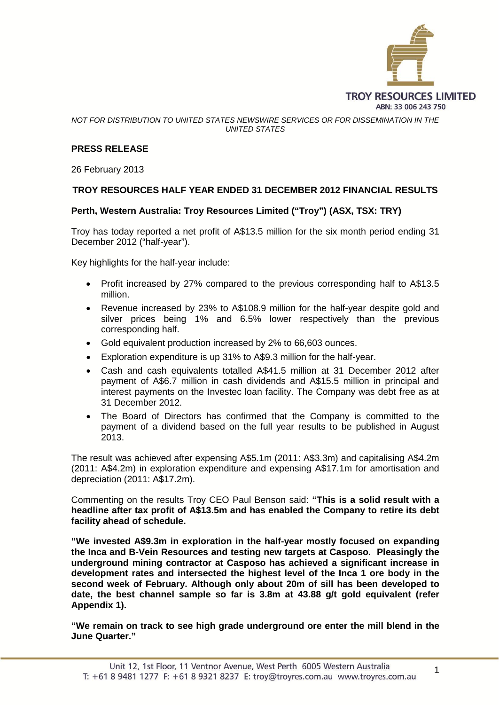

*NOT FOR DISTRIBUTION TO UNITED STATES NEWSWIRE SERVICES OR FOR DISSEMINATION IN THE UNITED STATES*

#### **PRESS RELEASE**

26 February 2013

#### **TROY RESOURCES HALF YEAR ENDED 31 DECEMBER 2012 FINANCIAL RESULTS**

#### **Perth, Western Australia: Troy Resources Limited ("Troy") (ASX, TSX: TRY)**

Troy has today reported a net profit of A\$13.5 million for the six month period ending 31 December 2012 ("half-year").

Key highlights for the half-year include:

- Profit increased by 27% compared to the previous corresponding half to A\$13.5 million.
- Revenue increased by 23% to A\$108.9 million for the half-year despite gold and silver prices being 1% and 6.5% lower respectively than the previous corresponding half.
- Gold equivalent production increased by 2% to 66,603 ounces.
- Exploration expenditure is up 31% to A\$9.3 million for the half-year.
- Cash and cash equivalents totalled A\$41.5 million at 31 December 2012 after payment of A\$6.7 million in cash dividends and A\$15.5 million in principal and interest payments on the Investec loan facility. The Company was debt free as at 31 December 2012.
- The Board of Directors has confirmed that the Company is committed to the payment of a dividend based on the full year results to be published in August 2013.

The result was achieved after expensing A\$5.1m (2011: A\$3.3m) and capitalising A\$4.2m (2011: A\$4.2m) in exploration expenditure and expensing A\$17.1m for amortisation and depreciation (2011: A\$17.2m).

Commenting on the results Troy CEO Paul Benson said: **"This is a solid result with a headline after tax profit of A\$13.5m and has enabled the Company to retire its debt facility ahead of schedule.**

**"We invested A\$9.3m in exploration in the half-year mostly focused on expanding the Inca and B-Vein Resources and testing new targets at Casposo. Pleasingly the underground mining contractor at Casposo has achieved a significant increase in development rates and intersected the highest level of the Inca 1 ore body in the second week of February. Although only about 20m of sill has been developed to date, the best channel sample so far is 3.8m at 43.88 g/t gold equivalent (refer Appendix 1).**

**"We remain on track to see high grade underground ore enter the mill blend in the June Quarter."**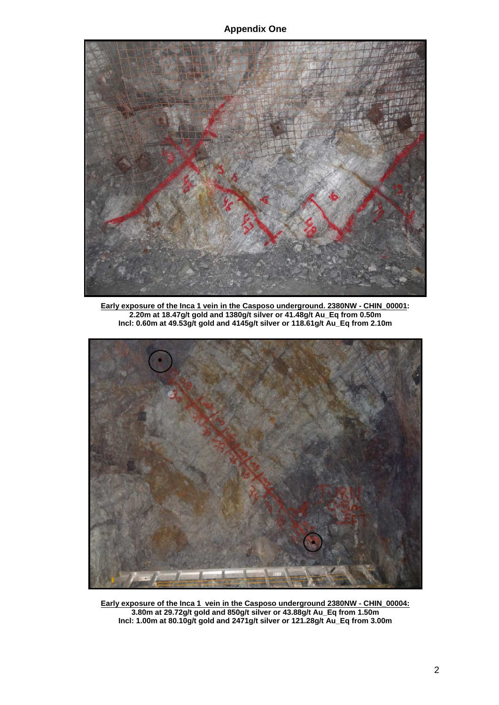**Appendix One**



**Early exposure of the Inca 1 vein in the Casposo underground. 2380NW - CHIN\_00001: 2.20m at 18.47g/t gold and 1380g/t silver or 41.48g/t Au\_Eq from 0.50m Incl: 0.60m at 49.53g/t gold and 4145g/t silver or 118.61g/t Au\_Eq from 2.10m**



**Early exposure of the Inca 1 vein in the Casposo underground 2380NW - CHIN\_00004: 3.80m at 29.72g/t gold and 850g/t silver or 43.88g/t Au\_Eq from 1.50m Incl: 1.00m at 80.10g/t gold and 2471g/t silver or 121.28g/t Au\_Eq from 3.00m**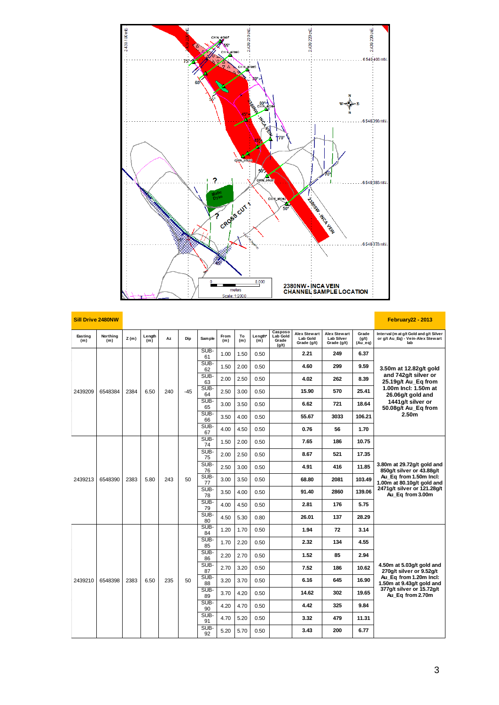

|                | <b>Sill Drive 2480NW</b> |      |               |     |       |               |             |           |                |                                       |                                                |                                                  |                             | <b>February 22 - 2013</b>                                                          |  |  |  |            |      |      |      |  |            |      |       |      |
|----------------|--------------------------|------|---------------|-----|-------|---------------|-------------|-----------|----------------|---------------------------------------|------------------------------------------------|--------------------------------------------------|-----------------------------|------------------------------------------------------------------------------------|--|--|--|------------|------|------|------|--|------------|------|-------|------|
| Easting<br>(m) | Northing<br>(m)          | Z(m) | Length<br>(m) | Az  | Dip   | <b>Sample</b> | From<br>(m) | To<br>(m) | Length*<br>(m) | Casposo<br>Lab Gold<br>Grade<br>(g/t) | <b>Alex Stewart</b><br>Lab Gold<br>Grade (g/t) | Alex Stewart<br><b>Lab Silver</b><br>Grade (g/t) | Grade<br>(g/t)<br>$(Au_eq)$ | Interval (m at g/t Gold and g/t Silver<br>or g/t Au_Eq) - Vein-Alex Stewart<br>lab |  |  |  |            |      |      |      |  |            |      |       |      |
|                |                          |      |               |     |       | SUB-<br>61    | 1.00        | 1.50      | 0.50           |                                       | 2.21                                           | 249                                              | 6.37                        |                                                                                    |  |  |  |            |      |      |      |  |            |      |       |      |
|                |                          |      |               |     |       | SUB-<br>62    | 1.50        | 2.00      | 0.50           |                                       | 4.60                                           | 299                                              | 9.59                        | 3.50m at 12.82g/t gold                                                             |  |  |  |            |      |      |      |  |            |      |       |      |
|                |                          |      |               |     |       | SUB-<br>63    | 2.00        | 2.50      | 0.50           |                                       | 4.02                                           | 262                                              | 8.39                        | and 742g/t silver or<br>25.19g/t Au_Eq from                                        |  |  |  |            |      |      |      |  |            |      |       |      |
| 2439209        | 6548384                  | 2384 | 6.50          | 240 | $-45$ | SUB-<br>64    | 2.50        | 3.00      | 0.50           |                                       | 15.90                                          | 570                                              | 25.41                       | 1.00m Incl: 1.50m at<br>26.06g/t gold and                                          |  |  |  |            |      |      |      |  |            |      |       |      |
|                |                          |      |               |     |       | SUB-<br>65    | 3.00        | 3.50      | 0.50           |                                       | 6.62                                           | 721                                              | 18.64                       | 1441g/t silver or<br>50.08g/t Au_Eq from                                           |  |  |  |            |      |      |      |  |            |      |       |      |
|                |                          |      |               |     |       | SUB-<br>66    | 3.50        | 4.00      | 0.50           |                                       | 55.67                                          | 3033                                             | 106.21                      | 2.50 <sub>m</sub>                                                                  |  |  |  |            |      |      |      |  |            |      |       |      |
|                |                          |      |               |     |       | SUB-<br>67    | 4.00        | 4.50      | 0.50           |                                       | 0.76                                           | 56                                               | 1.70                        |                                                                                    |  |  |  |            |      |      |      |  |            |      |       |      |
|                |                          |      |               |     |       |               | SUB-<br>74  | 1.50      | 2.00           | 0.50                                  |                                                | 7.65                                             | 186                         | 10.75                                                                              |  |  |  |            |      |      |      |  |            |      |       |      |
|                |                          |      |               |     |       |               |             |           |                |                                       |                                                |                                                  |                             |                                                                                    |  |  |  | SUB-<br>75 | 2.00 | 2.50 | 0.50 |  | 8.67       | 521  | 17.35 |      |
|                |                          |      |               |     |       |               |             |           |                |                                       |                                                |                                                  |                             |                                                                                    |  |  |  |            |      |      |      |  | SUB-<br>76 | 2.50 | 3.00  | 0.50 |
| 2439213        | 6548390                  | 2383 | 5.80          | 243 | 50    | SUB-<br>77    | 3.00        | 3.50      | 0.50           |                                       | 68.80                                          | 2081                                             | 103.49                      | Au_Eq from 1.50m Incl:<br>1.00m at 80.10g/t gold and                               |  |  |  |            |      |      |      |  |            |      |       |      |
|                |                          |      |               |     |       | SUB-<br>78    | 3.50        | 4.00      | 0.50           |                                       | 91.40                                          | 2860                                             | 139.06                      | 2471g/t silver or 121.28g/t<br>Au Eq from 3.00m                                    |  |  |  |            |      |      |      |  |            |      |       |      |
|                |                          |      |               |     |       | SUB-<br>79    | 4.00        | 4.50      | 0.50           |                                       | 2.81                                           | 176                                              | 5.75                        |                                                                                    |  |  |  |            |      |      |      |  |            |      |       |      |
|                |                          |      |               |     |       | SUB-<br>80    | 4.50        | 5.30      | 0.80           |                                       | 26.01                                          | 137                                              | 28.29                       |                                                                                    |  |  |  |            |      |      |      |  |            |      |       |      |
|                |                          |      |               |     |       | SUB-<br>84    | 1.20        | 1.70      | 0.50           |                                       | 1.94                                           | 72                                               | 3.14                        |                                                                                    |  |  |  |            |      |      |      |  |            |      |       |      |
|                |                          |      |               |     |       | SUB-<br>85    | 1.70        | 2.20      | 0.50           |                                       | 2.32                                           | 134                                              | 4.55                        |                                                                                    |  |  |  |            |      |      |      |  |            |      |       |      |
|                |                          |      |               |     |       | SUB-<br>86    | 2.20        | 2.70      | 0.50           |                                       | 1.52                                           | 85                                               | 2.94                        |                                                                                    |  |  |  |            |      |      |      |  |            |      |       |      |
|                |                          |      |               |     |       | SUB-<br>87    | 2.70        | 3.20      | 0.50           |                                       | 7.52                                           | 186                                              | 10.62                       | 4.50m at 5.03g/t gold and<br>270g/t silver or 9.52g/t                              |  |  |  |            |      |      |      |  |            |      |       |      |
| 2439210        | 6548398                  | 2383 | 6.50          | 235 | 50    | SUB-<br>88    | 3.20        | 3.70      | 0.50           |                                       | 6.16                                           | 645                                              | 16.90                       | Au Eq from 1.20m Incl:<br>1.50m at 9.43g/t gold and                                |  |  |  |            |      |      |      |  |            |      |       |      |
|                |                          |      |               |     |       | SUB-<br>89    | 3.70        | 4.20      | 0.50           |                                       | 14.62                                          | 302                                              | 19.65                       | 377g/t silver or 15.72g/t<br>Au Eq from 2.70m                                      |  |  |  |            |      |      |      |  |            |      |       |      |
|                |                          |      |               |     |       | SUB-<br>90    | 4.20        | 4.70      | 0.50           |                                       | 4.42                                           | 325                                              | 9.84                        |                                                                                    |  |  |  |            |      |      |      |  |            |      |       |      |
|                |                          |      |               |     |       | SUB-<br>91    | 4.70        | 5.20      | 0.50           |                                       | 3.32                                           | 479                                              | 11.31                       |                                                                                    |  |  |  |            |      |      |      |  |            |      |       |      |
|                |                          |      |               |     |       | SUB-<br>92    | 5.20        | 5.70      | 0.50           |                                       | 3.43                                           | 200                                              | 6.77                        |                                                                                    |  |  |  |            |      |      |      |  |            |      |       |      |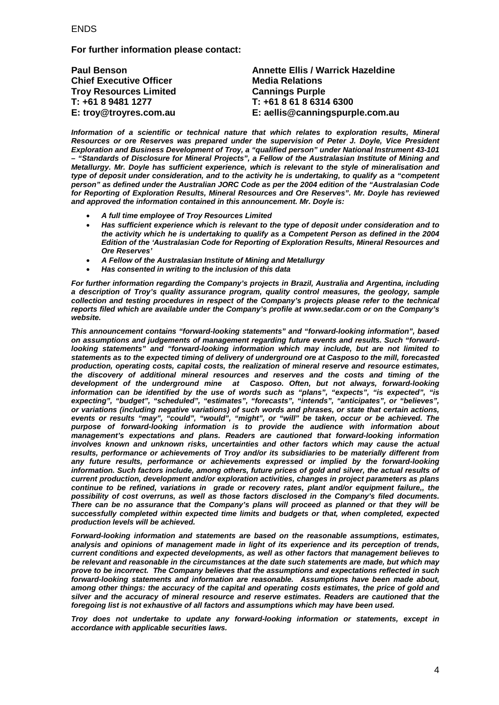#### **FNDS**

**For further information please contact:**

| <b>Paul Benson</b>             | <b>Annette Ellis / Warrick Hazeldine</b> |
|--------------------------------|------------------------------------------|
| <b>Chief Executive Officer</b> | <b>Media Relations</b>                   |
| <b>Troy Resources Limited</b>  | <b>Cannings Purple</b>                   |
| T: +61 8 9481 1277             | T: +61 8 61 8 6314 6300                  |
| E: troy@troyres.com.au         | E: aellis@canningspurple.com.au          |

*Information of a scientific or technical nature that which relates to exploration results, Mineral Resources or ore Reserves was prepared under the supervision of Peter J. Doyle, Vice President Exploration and Business Development of Troy, a "qualified person" under National Instrument 43-101 – "Standards of Disclosure for Mineral Projects", a Fellow of the Australasian Institute of Mining and Metallurgy. Mr. Doyle has sufficient experience, which is relevant to the style of mineralisation and type of deposit under consideration, and to the activity he is undertaking, to qualify as a "competent person" as defined under the Australian JORC Code as per the 2004 edition of the "Australasian Code for Reporting of Exploration Results, Mineral Resources and Ore Reserves". Mr. Doyle has reviewed and approved the information contained in this announcement. Mr. Doyle is:*

- *A full time employee of Troy Resources Limited*
- *Has sufficient experience which is relevant to the type of deposit under consideration and to the activity which he is undertaking to qualify as a Competent Person as defined in the 2004 Edition of the 'Australasian Code for Reporting of Exploration Results, Mineral Resources and Ore Reserves'*
- *A Fellow of the Australasian Institute of Mining and Metallurgy*
- *Has consented in writing to the inclusion of this data*

*For further information regarding the Company's projects in Brazil, Australia and Argentina, including a description of Troy's quality assurance program, quality control measures, the geology, sample collection and testing procedures in respect of the Company's projects please refer to the technical reports filed which are available under the Company's profile at [www.sedar.com](http://www.sedar.com/) or on the Company's website.*

*This announcement contains "forward-looking statements" and "forward-looking information", based on assumptions and judgements of management regarding future events and results. Such "forwardlooking statements" and "forward-looking information which may include, but are not limited to statements as to the expected timing of delivery of underground ore at Casposo to the mill, forecasted production, operating costs, capital costs, the realization of mineral reserve and resource estimates, the discovery of additional mineral resources and reserves and the costs and timing of the development of the underground mine at Casposo. Often, but not always, forward-looking information can be identified by the use of words such as "plans", "expects", "is expected", "is expecting", "budget", "scheduled", "estimates", "forecasts", "intends", "anticipates", or "believes", or variations (including negative variations) of such words and phrases, or state that certain actions, events or results "may", "could", "would", "might", or "will" be taken, occur or be achieved. The purpose of forward-looking information is to provide the audience with information about management's expectations and plans. Readers are cautioned that forward-looking information involves known and unknown risks, uncertainties and other factors which may cause the actual results, performance or achievements of Troy and/or its subsidiaries to be materially different from any future results, performance or achievements expressed or implied by the forward-looking information. Such factors include, among others, future prices of gold and silver, the actual results of current production, development and/or exploration activities, changes in project parameters as plans continue to be refined, variations in grade or recovery rates, plant and/or equipment failure,, the possibility of cost overruns, as well as those factors disclosed in the Company's filed documents. There can be no assurance that the Company's plans will proceed as planned or that they will be successfully completed within expected time limits and budgets or that, when completed, expected production levels will be achieved.*

*Forward-looking information and statements are based on the reasonable assumptions, estimates, analysis and opinions of management made in light of its experience and its perception of trends, current conditions and expected developments, as well as other factors that management believes to be relevant and reasonable in the circumstances at the date such statements are made, but which may prove to be incorrect. The Company believes that the assumptions and expectations reflected in such forward-looking statements and information are reasonable. Assumptions have been made about, among other things: the accuracy of the capital and operating costs estimates, the price of gold and silver and the accuracy of mineral resource and reserve estimates. Readers are cautioned that the foregoing list is not exhaustive of all factors and assumptions which may have been used.*

*Troy does not undertake to update any forward-looking information or statements, except in accordance with applicable securities laws.*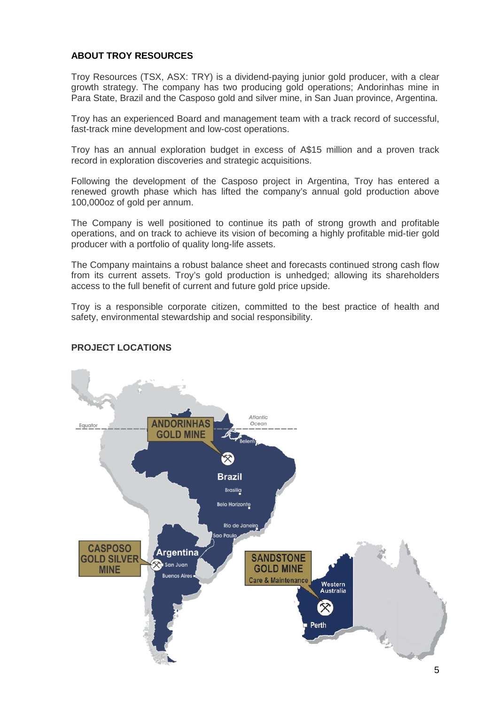#### **ABOUT TROY RESOURCES**

Troy Resources (TSX, ASX: TRY) is a dividend-paying junior gold producer, with a clear growth strategy. The company has two producing gold operations; Andorinhas mine in Para State, Brazil and the Casposo gold and silver mine, in San Juan province, Argentina.

Troy has an experienced Board and management team with a track record of successful, fast-track mine development and low-cost operations.

Troy has an annual exploration budget in excess of A\$15 million and a proven track record in exploration discoveries and strategic acquisitions.

Following the development of the Casposo project in Argentina, Troy has entered a renewed growth phase which has lifted the company's annual gold production above 100,000oz of gold per annum.

The Company is well positioned to continue its path of strong growth and profitable operations, and on track to achieve its vision of becoming a highly profitable mid-tier gold producer with a portfolio of quality long-life assets.

The Company maintains a robust balance sheet and forecasts continued strong cash flow from its current assets. Troy's gold production is unhedged; allowing its shareholders access to the full benefit of current and future gold price upside.

Troy is a responsible corporate citizen, committed to the best practice of health and safety, environmental stewardship and social responsibility.



#### **PROJECT LOCATIONS**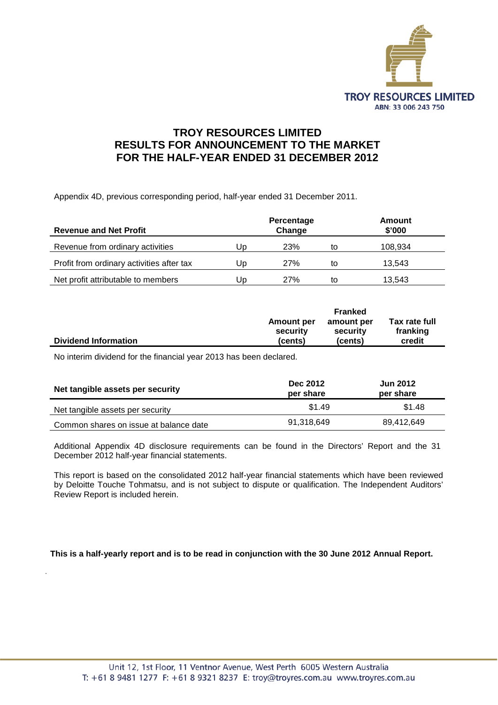

#### **TROY RESOURCES LIMITED RESULTS FOR ANNOUNCEMENT TO THE MARKET FOR THE HALF-YEAR ENDED 31 DECEMBER 2012**

Appendix 4D, previous corresponding period, half-year ended 31 December 2011.

| <b>Revenue and Net Profit</b>             |    | Percentage<br>Change |    | Amount<br>\$'000 |
|-------------------------------------------|----|----------------------|----|------------------|
| Revenue from ordinary activities          | Up | 23%                  | to | 108,934          |
| Profit from ordinary activities after tax | Up | 27%                  | to | 13.543           |
| Net profit attributable to members        | Up | 27%                  | to | 13,543           |

|                             |            | <b>Franked</b> |               |
|-----------------------------|------------|----------------|---------------|
|                             | Amount per | amount per     | Tax rate full |
|                             | security   | security       | franking      |
| <b>Dividend Information</b> | (cents)    | (cents)        | credit        |

No interim dividend for the financial year 2013 has been declared.

.

| Net tangible assets per security       | <b>Dec 2012</b><br>per share | <b>Jun 2012</b><br>per share |
|----------------------------------------|------------------------------|------------------------------|
| Net tangible assets per security       | \$1.49                       | \$1.48                       |
| Common shares on issue at balance date | 91,318,649                   | 89,412,649                   |

Additional Appendix 4D disclosure requirements can be found in the Directors' Report and the 31 December 2012 half-year financial statements.

This report is based on the consolidated 2012 half-year financial statements which have been reviewed by Deloitte Touche Tohmatsu, and is not subject to dispute or qualification. The Independent Auditors' Review Report is included herein.

**This is a half-yearly report and is to be read in conjunction with the 30 June 2012 Annual Report.**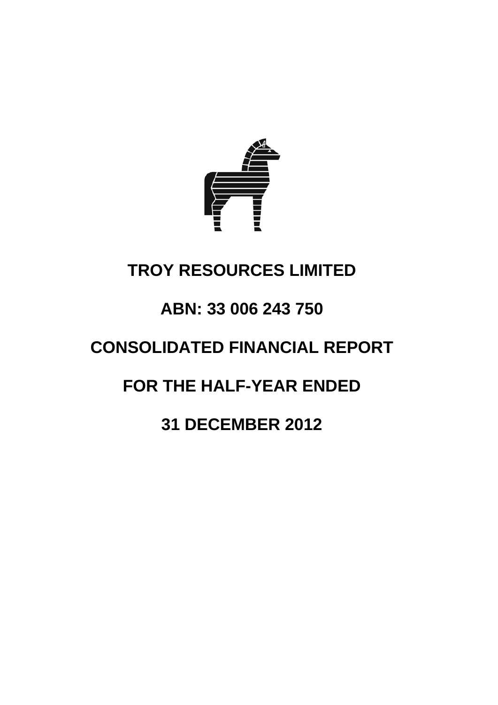

## **TROY RESOURCES LIMITED**

## **ABN: 33 006 243 750**

## **CONSOLIDATED FINANCIAL REPORT**

## **FOR THE HALF-YEAR ENDED**

## **31 DECEMBER 2012**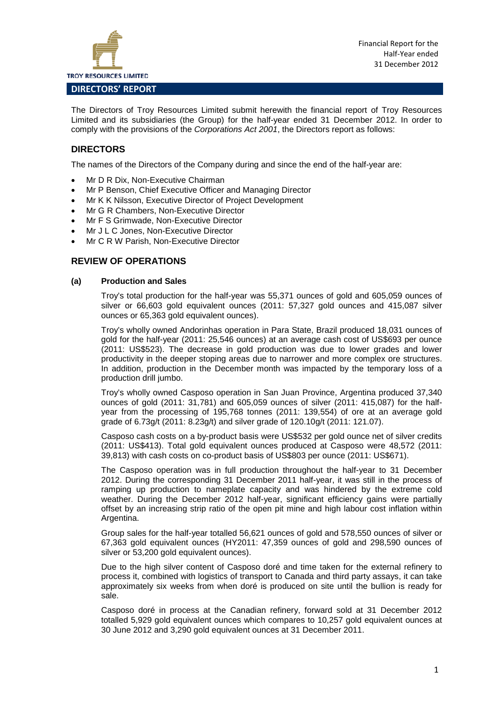

#### **DIRECTORS' REPORT**

The Directors of Troy Resources Limited submit herewith the financial report of Troy Resources Limited and its subsidiaries (the Group) for the half-year ended 31 December 2012. In order to comply with the provisions of the *Corporations Act 2001*, the Directors report as follows:

#### **DIRECTORS**

The names of the Directors of the Company during and since the end of the half-year are:

- Mr D R Dix, Non-Executive Chairman
- Mr P Benson, Chief Executive Officer and Managing Director
- Mr K K Nilsson, Executive Director of Project Development
- Mr G R Chambers, Non-Executive Director
- Mr F S Grimwade, Non-Executive Director
- Mr J L C Jones, Non-Executive Director
- Mr C R W Parish, Non-Executive Director

#### **REVIEW OF OPERATIONS**

#### **(a) Production and Sales**

Troy's total production for the half-year was 55,371 ounces of gold and 605,059 ounces of silver or 66,603 gold equivalent ounces (2011: 57,327 gold ounces and 415,087 silver ounces or 65,363 gold equivalent ounces).

Troy's wholly owned Andorinhas operation in Para State, Brazil produced 18,031 ounces of gold for the half-year (2011: 25,546 ounces) at an average cash cost of US\$693 per ounce (2011: US\$523). The decrease in gold production was due to lower grades and lower productivity in the deeper stoping areas due to narrower and more complex ore structures. In addition, production in the December month was impacted by the temporary loss of a production drill jumbo.

Troy's wholly owned Casposo operation in San Juan Province, Argentina produced 37,340 ounces of gold (2011: 31,781) and 605,059 ounces of silver (2011: 415,087) for the halfyear from the processing of 195,768 tonnes (2011: 139,554) of ore at an average gold grade of 6.73g/t (2011: 8.23g/t) and silver grade of 120.10g/t (2011: 121.07).

Casposo cash costs on a by-product basis were US\$532 per gold ounce net of silver credits (2011: US\$413). Total gold equivalent ounces produced at Casposo were 48,572 (2011: 39,813) with cash costs on co-product basis of US\$803 per ounce (2011: US\$671).

The Casposo operation was in full production throughout the half-year to 31 December 2012. During the corresponding 31 December 2011 half-year, it was still in the process of ramping up production to nameplate capacity and was hindered by the extreme cold weather. During the December 2012 half-year, significant efficiency gains were partially offset by an increasing strip ratio of the open pit mine and high labour cost inflation within Argentina.

Group sales for the half-year totalled 56,621 ounces of gold and 578,550 ounces of silver or 67,363 gold equivalent ounces (HY2011: 47,359 ounces of gold and 298,590 ounces of silver or 53,200 gold equivalent ounces).

Due to the high silver content of Casposo doré and time taken for the external refinery to process it, combined with logistics of transport to Canada and third party assays, it can take approximately six weeks from when doré is produced on site until the bullion is ready for sale.

Casposo doré in process at the Canadian refinery, forward sold at 31 December 2012 totalled 5,929 gold equivalent ounces which compares to 10,257 gold equivalent ounces at 30 June 2012 and 3,290 gold equivalent ounces at 31 December 2011.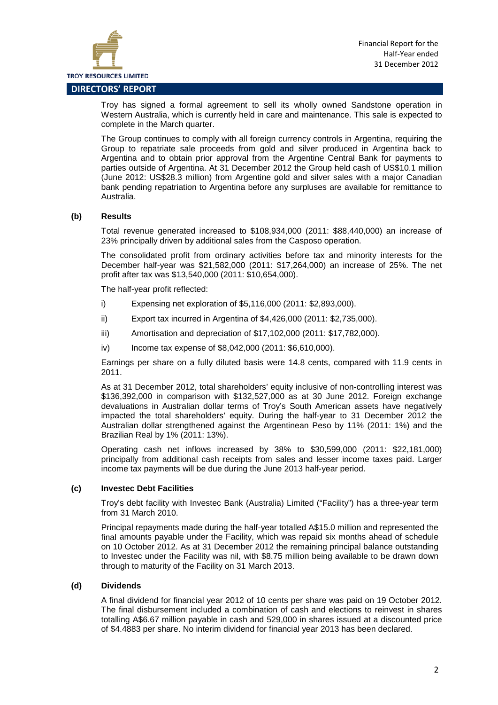

Troy has signed a formal agreement to sell its wholly owned Sandstone operation in Western Australia, which is currently held in care and maintenance. This sale is expected to complete in the March quarter.

The Group continues to comply with all foreign currency controls in Argentina, requiring the Group to repatriate sale proceeds from gold and silver produced in Argentina back to Argentina and to obtain prior approval from the Argentine Central Bank for payments to parties outside of Argentina. At 31 December 2012 the Group held cash of US\$10.1 million (June 2012: US\$28.3 million) from Argentine gold and silver sales with a major Canadian bank pending repatriation to Argentina before any surpluses are available for remittance to Australia.

#### **(b) Results**

Total revenue generated increased to \$108,934,000 (2011: \$88,440,000) an increase of 23% principally driven by additional sales from the Casposo operation.

The consolidated profit from ordinary activities before tax and minority interests for the December half-year was \$21,582,000 (2011: \$17,264,000) an increase of 25%. The net profit after tax was \$13,540,000 (2011: \$10,654,000).

The half-year profit reflected:

- i) Expensing net exploration of \$5,116,000 (2011: \$2,893,000).
- ii) Export tax incurred in Argentina of \$4,426,000 (2011: \$2,735,000).
- iii) Amortisation and depreciation of \$17,102,000 (2011: \$17,782,000).
- iv) Income tax expense of \$8,042,000 (2011: \$6,610,000).

Earnings per share on a fully diluted basis were 14.8 cents, compared with 11.9 cents in 2011.

As at 31 December 2012, total shareholders' equity inclusive of non-controlling interest was \$136,392,000 in comparison with \$132,527,000 as at 30 June 2012. Foreign exchange devaluations in Australian dollar terms of Troy's South American assets have negatively impacted the total shareholders' equity. During the half-year to 31 December 2012 the Australian dollar strengthened against the Argentinean Peso by 11% (2011: 1%) and the Brazilian Real by 1% (2011: 13%).

Operating cash net inflows increased by 38% to \$30,599,000 (2011: \$22,181,000) principally from additional cash receipts from sales and lesser income taxes paid. Larger income tax payments will be due during the June 2013 half-year period.

#### **(c) Investec Debt Facilities**

Troy's debt facility with Investec Bank (Australia) Limited ("Facility") has a three-year term from 31 March 2010.

Principal repayments made during the half-year totalled A\$15.0 million and represented the final amounts payable under the Facility, which was repaid six months ahead of schedule on 10 October 2012. As at 31 December 2012 the remaining principal balance outstanding to Investec under the Facility was nil, with \$8.75 million being available to be drawn down through to maturity of the Facility on 31 March 2013.

#### **(d) Dividends**

A final dividend for financial year 2012 of 10 cents per share was paid on 19 October 2012. The final disbursement included a combination of cash and elections to reinvest in shares totalling A\$6.67 million payable in cash and 529,000 in shares issued at a discounted price of \$4.4883 per share. No interim dividend for financial year 2013 has been declared.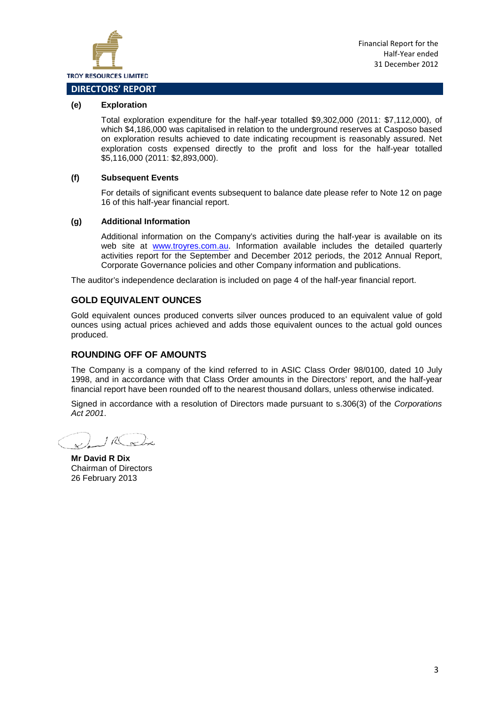

#### **(e) Exploration**

Total exploration expenditure for the half-year totalled \$9,302,000 (2011: \$7,112,000), of which \$4,186,000 was capitalised in relation to the underground reserves at Casposo based on exploration results achieved to date indicating recoupment is reasonably assured. Net exploration costs expensed directly to the profit and loss for the half-year totalled \$5,116,000 (2011: \$2,893,000).

#### **(f) Subsequent Events**

For details of significant events subsequent to balance date please refer to Note 12 on page 16 of this half-year financial report.

#### **(g) Additional Information**

Additional information on the Company's activities during the half-year is available on its web site at [www.troyres.com.au.](http://www.troyres.com.au/) Information available includes the detailed quarterly activities report for the September and December 2012 periods, the 2012 Annual Report, Corporate Governance policies and other Company information and publications.

The auditor's independence declaration is included on page 4 of the half-year financial report.

#### **GOLD EQUIVALENT OUNCES**

Gold equivalent ounces produced converts silver ounces produced to an equivalent value of gold ounces using actual prices achieved and adds those equivalent ounces to the actual gold ounces produced.

#### **ROUNDING OFF OF AMOUNTS**

The Company is a company of the kind referred to in ASIC Class Order 98/0100, dated 10 July 1998, and in accordance with that Class Order amounts in the Directors' report, and the half-year financial report have been rounded off to the nearest thousand dollars, unless otherwise indicated.

Signed in accordance with a resolution of Directors made pursuant to s.306(3) of the *Corporations Act 2001*.

IR active

**Mr David R Dix** Chairman of Directors 26 February 2013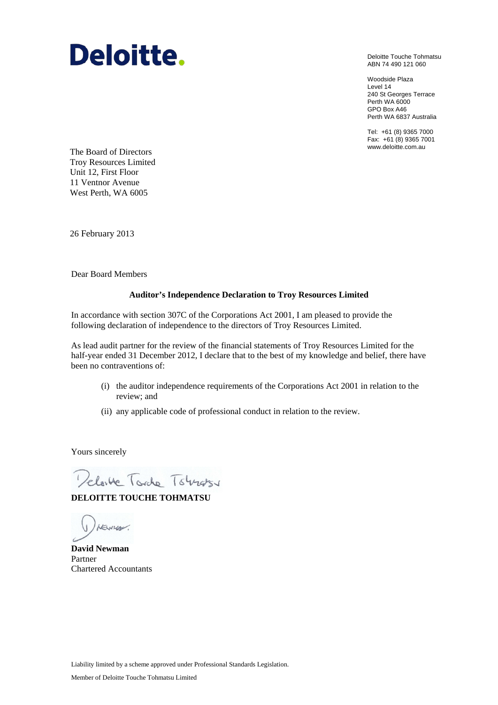## Deloitte.

Deloitte Touche Tohmatsu ABN 74 490 121 060

Woodside Plaza Level 14 240 St Georges Terrace Perth WA 6000 GPO Box A46 Perth WA 6837 Australia

Tel: +61 (8) 9365 7000 Fax: +61 (8) 9365 7001

www.deloitte.com.au The Board of Directors Troy Resources Limited Unit 12, First Floor 11 Ventnor Avenue West Perth, WA 6005

26 February 2013

Dear Board Members

#### **Auditor's Independence Declaration to Troy Resources Limited**

In accordance with section 307C of the Corporations Act 2001, I am pleased to provide the following declaration of independence to the directors of Troy Resources Limited.

As lead audit partner for the review of the financial statements of Troy Resources Limited for the half-year ended 31 December 2012, I declare that to the best of my knowledge and belief, there have been no contraventions of:

- (i) the auditor independence requirements of the Corporations Act 2001 in relation to the review; and
- (ii) any applicable code of professional conduct in relation to the review.

Yours sincerely

Pelovice Torche Towns

**DELOITTE TOUCHE TOHMATSU**

(1) remover.

**David Newman** Partner Chartered Accountants

Liability limited by a scheme approved under Professional Standards Legislation.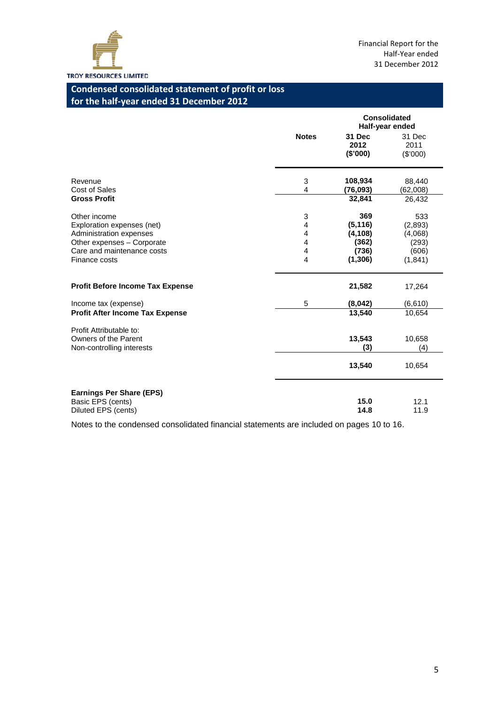

### **Condensed consolidated statement of profit or loss for the half-year ended 31 December 2012**

|                                                                              |              |                            | <b>Consolidated</b><br>Half-year ended |
|------------------------------------------------------------------------------|--------------|----------------------------|----------------------------------------|
|                                                                              | <b>Notes</b> | 31 Dec<br>2012<br>(\$'000) | 31 Dec<br>2011<br>(\$'000)             |
| Revenue<br>Cost of Sales                                                     | 3<br>4       | 108,934<br>(76, 093)       | 88,440<br>(62,008)                     |
| <b>Gross Profit</b>                                                          |              | 32,841                     | 26,432                                 |
| Other income<br>Exploration expenses (net)                                   | 3<br>4       | 369<br>(5, 116)            | 533<br>(2,893)                         |
| Administration expenses                                                      | 4            | (4, 108)                   | (4,068)                                |
| Other expenses - Corporate                                                   | 4            | (362)                      | (293)                                  |
| Care and maintenance costs<br>Finance costs                                  | 4<br>4       | (736)<br>(1,306)           | (606)<br>(1,841)                       |
| <b>Profit Before Income Tax Expense</b>                                      |              | 21,582                     | 17,264                                 |
| Income tax (expense)                                                         | 5            | (8,042)                    | (6,610)                                |
| <b>Profit After Income Tax Expense</b>                                       |              | 13,540                     | 10,654                                 |
| Profit Attributable to:<br>Owners of the Parent<br>Non-controlling interests |              | 13,543<br>(3)              | 10,658<br>(4)                          |
|                                                                              |              | 13,540                     | 10,654                                 |
| <b>Earnings Per Share (EPS)</b><br>Basic EPS (cents)<br>Diluted EPS (cents)  |              | 15.0<br>14.8               | 12.1<br>11.9                           |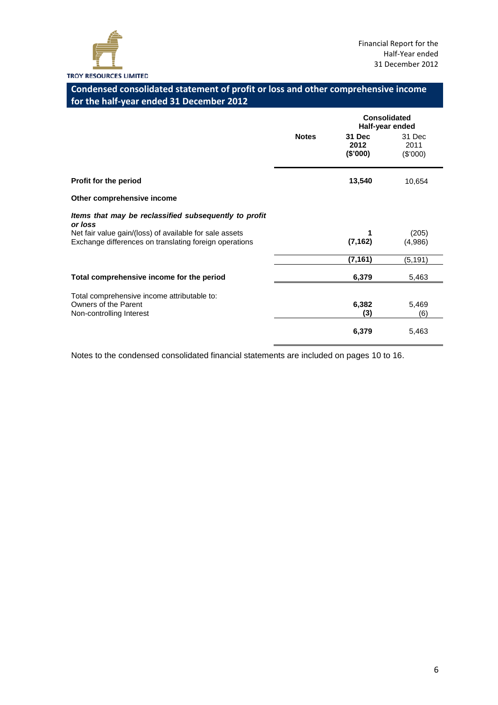

#### **Condensed consolidated statement of profit or loss and other comprehensive income for the half-year ended 31 December 2012**

|                                                                                                                   |              |                                     | Consolidated<br>Half-year ended |
|-------------------------------------------------------------------------------------------------------------------|--------------|-------------------------------------|---------------------------------|
|                                                                                                                   | <b>Notes</b> | <b>31 Dec</b><br>2012<br>$(\$'000)$ | 31 Dec<br>2011<br>(\$'000)      |
| Profit for the period                                                                                             |              | 13,540                              | 10,654                          |
| Other comprehensive income                                                                                        |              |                                     |                                 |
| Items that may be reclassified subsequently to profit<br>or loss                                                  |              |                                     |                                 |
| Net fair value gain/(loss) of available for sale assets<br>Exchange differences on translating foreign operations |              | 1<br>(7, 162)                       | (205)<br>(4,986)                |
|                                                                                                                   |              | (7, 161)                            | (5, 191)                        |
| Total comprehensive income for the period                                                                         |              | 6,379                               | 5,463                           |
| Total comprehensive income attributable to:                                                                       |              |                                     |                                 |
| Owners of the Parent<br>Non-controlling Interest                                                                  |              | 6,382<br>(3)                        | 5,469<br>(6)                    |
|                                                                                                                   |              | 6,379                               | 5,463                           |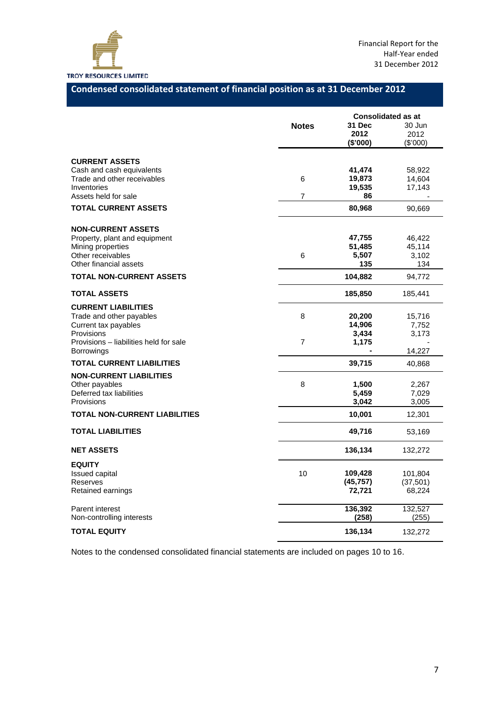

#### **Condensed consolidated statement of financial position as at 31 December 2012**

|                                                          |                | <b>Consolidated as at</b> |                  |
|----------------------------------------------------------|----------------|---------------------------|------------------|
|                                                          | <b>Notes</b>   | 31 Dec                    | 30 Jun           |
|                                                          |                | 2012                      | 2012             |
|                                                          |                | (\$'000)                  | (\$'000)         |
|                                                          |                |                           |                  |
| <b>CURRENT ASSETS</b>                                    |                | 41,474                    |                  |
| Cash and cash equivalents<br>Trade and other receivables | 6              | 19,873                    | 58,922<br>14,604 |
| Inventories                                              |                | 19,535                    | 17,143           |
| Assets held for sale                                     | $\overline{7}$ | 86                        |                  |
| <b>TOTAL CURRENT ASSETS</b>                              |                | 80,968                    | 90,669           |
|                                                          |                |                           |                  |
| <b>NON-CURRENT ASSETS</b>                                |                |                           |                  |
| Property, plant and equipment                            |                | 47,755                    | 46,422           |
| Mining properties                                        |                | 51,485                    | 45,114           |
| Other receivables                                        | 6              | 5,507                     | 3,102            |
| Other financial assets                                   |                | 135                       | 134              |
| <b>TOTAL NON-CURRENT ASSETS</b>                          |                | 104,882                   | 94,772           |
| <b>TOTAL ASSETS</b>                                      |                | 185,850                   | 185,441          |
| <b>CURRENT LIABILITIES</b>                               |                |                           |                  |
| Trade and other payables                                 | 8              | 20,200                    | 15,716           |
| Current tax payables                                     |                | 14,906                    | 7,752            |
| Provisions                                               |                | 3,434                     | 3,173            |
| Provisions – liabilities held for sale                   | $\overline{7}$ | 1,175                     |                  |
| Borrowings                                               |                |                           | 14,227           |
| <b>TOTAL CURRENT LIABILITIES</b>                         |                | 39,715                    | 40,868           |
| <b>NON-CURRENT LIABILITIES</b>                           |                |                           |                  |
| Other payables                                           | 8              | 1,500                     | 2,267            |
| Deferred tax liabilities                                 |                | 5,459                     | 7,029            |
| Provisions                                               |                | 3,042                     | 3,005            |
| <b>TOTAL NON-CURRENT LIABILITIES</b>                     |                | 10,001                    | 12,301           |
| <b>TOTAL LIABILITIES</b>                                 |                | 49,716                    | 53,169           |
| <b>NET ASSETS</b>                                        |                | 136,134                   | 132,272          |
| <b>EQUITY</b>                                            |                |                           |                  |
| <b>Issued capital</b>                                    | 10             | 109,428                   | 101,804          |
| Reserves                                                 |                | (45, 757)                 | (37, 501)        |
| Retained earnings                                        |                | 72,721                    | 68,224           |
| Parent interest                                          |                | 136,392                   | 132,527          |
| Non-controlling interests                                |                | (258)                     | (255)            |
| <b>TOTAL EQUITY</b>                                      |                | 136,134                   | 132,272          |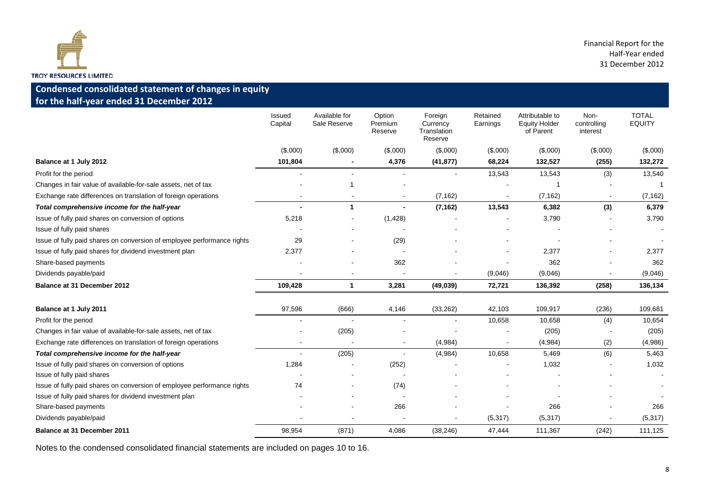

#### **Condensed consolidated statement of changes in equity for the half-year ended 31 December 2012**

|                                                                         | Issued<br>Capital | Available for<br>Sale Reserve | Option<br>Premium<br>Reserve | Foreign<br>Currency<br>Translation<br>Reserve | Retained<br>Earnings | Attributable to<br><b>Equity Holder</b><br>of Parent | Non-<br>controlling<br>interest | <b>TOTAL</b><br><b>EQUITY</b> |
|-------------------------------------------------------------------------|-------------------|-------------------------------|------------------------------|-----------------------------------------------|----------------------|------------------------------------------------------|---------------------------------|-------------------------------|
|                                                                         | (\$,000)          | (\$,000)                      | (\$,000)                     | (\$,000)                                      | (\$,000)             | (\$,000)                                             | (\$,000)                        | (\$,000)                      |
| Balance at 1 July 2012                                                  | 101,804           |                               | 4,376                        | (41, 877)                                     | 68,224               | 132,527                                              | (255)                           | 132,272                       |
| Profit for the period                                                   |                   |                               |                              |                                               | 13,543               | 13,543                                               | (3)                             | 13,540                        |
| Changes in fair value of available-for-sale assets, net of tax          |                   | 1                             |                              |                                               |                      |                                                      |                                 |                               |
| Exchange rate differences on translation of foreign operations          |                   | $\blacksquare$                | $\overline{\phantom{a}}$     | (7, 162)                                      |                      | (7, 162)                                             |                                 | (7, 162)                      |
| Total comprehensive income for the half-year                            |                   | $\mathbf 1$                   | $\blacksquare$               | (7, 162)                                      | 13,543               | 6,382                                                | (3)                             | 6,379                         |
| Issue of fully paid shares on conversion of options                     | 5,218             | $\blacksquare$                | (1, 428)                     |                                               |                      | 3,790                                                |                                 | 3,790                         |
| Issue of fully paid shares                                              |                   |                               |                              |                                               |                      |                                                      |                                 |                               |
| Issue of fully paid shares on conversion of employee performance rights | 29                | $\sim$                        | (29)                         |                                               |                      |                                                      |                                 |                               |
| Issue of fully paid shares for dividend investment plan                 | 2,377             |                               |                              |                                               |                      | 2,377                                                |                                 | 2,377                         |
| Share-based payments                                                    |                   |                               | 362                          |                                               |                      | 362                                                  |                                 | 362                           |
| Dividends payable/paid                                                  |                   |                               |                              |                                               | (9,046)              | (9,046)                                              |                                 | (9,046)                       |
| Balance at 31 December 2012                                             | 109,428           | 1                             | 3,281                        | (49, 039)                                     | 72,721               | 136,392                                              | (258)                           | 136,134                       |
|                                                                         |                   |                               |                              |                                               |                      |                                                      |                                 |                               |
| Balance at 1 July 2011                                                  | 97,596            | (666)                         | 4,146                        | (33, 262)                                     | 42,103               | 109,917                                              | (236)                           | 109,681                       |
| Profit for the period                                                   |                   | $\sim$                        |                              |                                               | 10,658               | 10,658                                               | (4)                             | 10,654                        |
| Changes in fair value of available-for-sale assets, net of tax          |                   | (205)                         |                              |                                               |                      | (205)                                                |                                 | (205)                         |
| Exchange rate differences on translation of foreign operations          |                   |                               |                              | (4,984)                                       |                      | (4,984)                                              | (2)                             | (4,986)                       |
| Total comprehensive income for the half-year                            |                   | (205)                         |                              | (4,984)                                       | 10,658               | 5,469                                                | (6)                             | 5,463                         |
| Issue of fully paid shares on conversion of options                     | 1,284             | $\overline{\phantom{a}}$      | (252)                        |                                               |                      | 1,032                                                |                                 | 1,032                         |
| Issue of fully paid shares                                              |                   |                               |                              |                                               |                      |                                                      |                                 |                               |
| Issue of fully paid shares on conversion of employee performance rights | 74                |                               | (74)                         |                                               |                      |                                                      |                                 |                               |
| Issue of fully paid shares for dividend investment plan                 |                   |                               |                              |                                               |                      |                                                      |                                 |                               |
| Share-based payments                                                    |                   |                               | 266                          |                                               |                      | 266                                                  |                                 | 266                           |
| Dividends payable/paid                                                  |                   |                               |                              |                                               | (5, 317)             | (5, 317)                                             |                                 | (5, 317)                      |
| <b>Balance at 31 December 2011</b>                                      | 98,954            | (871)                         | 4,086                        | (38, 246)                                     | 47,444               | 111,367                                              | (242)                           | 111,125                       |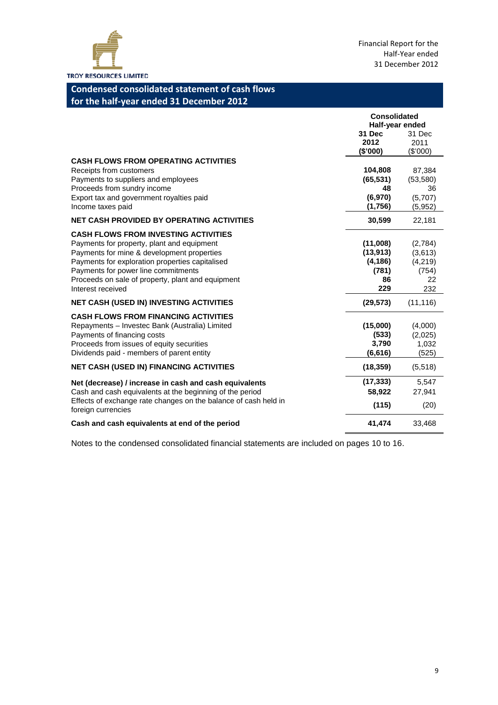

#### **Condensed consolidated statement of cash flows for the half-year ended 31 December 2012**

|                                                                                                                                                                                                                                                                                                             | <b>Consolidated</b><br>Half-year ended                  |                                                     |
|-------------------------------------------------------------------------------------------------------------------------------------------------------------------------------------------------------------------------------------------------------------------------------------------------------------|---------------------------------------------------------|-----------------------------------------------------|
|                                                                                                                                                                                                                                                                                                             | <b>31 Dec</b><br>2012<br>(\$'000)                       | 31 Dec<br>2011<br>(\$'000)                          |
| <b>CASH FLOWS FROM OPERATING ACTIVITIES</b><br>Receipts from customers<br>Payments to suppliers and employees<br>Proceeds from sundry income<br>Export tax and government royalties paid<br>Income taxes paid                                                                                               | 104,808<br>(65, 531)<br>48<br>(6,970)<br>(1,756)        | 87,384<br>(53, 580)<br>36<br>(5,707)<br>(5,952)     |
| <b>NET CASH PROVIDED BY OPERATING ACTIVITIES</b>                                                                                                                                                                                                                                                            | 30,599                                                  | 22,181                                              |
| <b>CASH FLOWS FROM INVESTING ACTIVITIES</b><br>Payments for property, plant and equipment<br>Payments for mine & development properties<br>Payments for exploration properties capitalised<br>Payments for power line commitments<br>Proceeds on sale of property, plant and equipment<br>Interest received | (11,008)<br>(13, 913)<br>(4, 186)<br>(781)<br>86<br>229 | (2,784)<br>(3,613)<br>(4,219)<br>(754)<br>22<br>232 |
| <b>NET CASH (USED IN) INVESTING ACTIVITIES</b>                                                                                                                                                                                                                                                              | (29, 573)                                               | (11, 116)                                           |
| <b>CASH FLOWS FROM FINANCING ACTIVITIES</b><br>Repayments - Investec Bank (Australia) Limited<br>Payments of financing costs<br>Proceeds from issues of equity securities<br>Dividends paid - members of parent entity                                                                                      | (15,000)<br>(533)<br>3,790<br>(6, 616)                  | (4,000)<br>(2,025)<br>1,032<br>(525)                |
| <b>NET CASH (USED IN) FINANCING ACTIVITIES</b>                                                                                                                                                                                                                                                              | (18, 359)                                               | (5,518)                                             |
| Net (decrease) / increase in cash and cash equivalents<br>Cash and cash equivalents at the beginning of the period<br>Effects of exchange rate changes on the balance of cash held in<br>foreign currencies                                                                                                 | (17, 333)<br>58,922<br>(115)                            | 5,547<br>27,941<br>(20)                             |
| Cash and cash equivalents at end of the period                                                                                                                                                                                                                                                              | 41,474                                                  | 33,468                                              |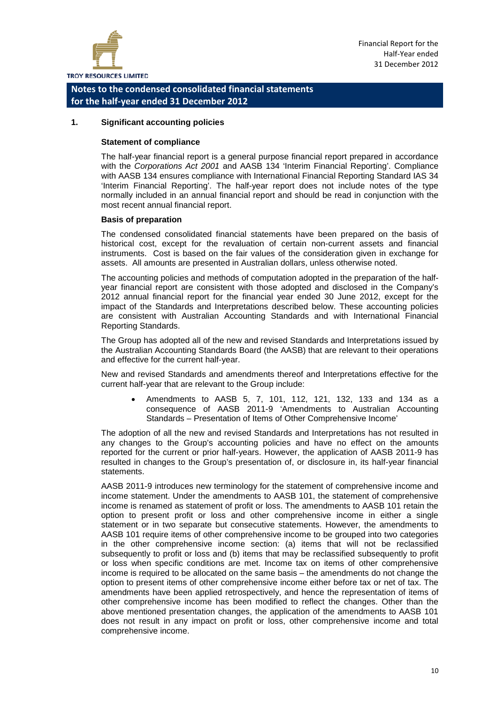

#### **1. Significant accounting policies**

#### **Statement of compliance**

The half-year financial report is a general purpose financial report prepared in accordance with the *Corporations Act 2001* and AASB 134 'Interim Financial Reporting'. Compliance with AASB 134 ensures compliance with International Financial Reporting Standard IAS 34 'Interim Financial Reporting'. The half-year report does not include notes of the type normally included in an annual financial report and should be read in conjunction with the most recent annual financial report.

#### **Basis of preparation**

The condensed consolidated financial statements have been prepared on the basis of historical cost, except for the revaluation of certain non-current assets and financial instruments. Cost is based on the fair values of the consideration given in exchange for assets. All amounts are presented in Australian dollars, unless otherwise noted.

The accounting policies and methods of computation adopted in the preparation of the halfyear financial report are consistent with those adopted and disclosed in the Company's 2012 annual financial report for the financial year ended 30 June 2012, except for the impact of the Standards and Interpretations described below. These accounting policies are consistent with Australian Accounting Standards and with International Financial Reporting Standards.

The Group has adopted all of the new and revised Standards and Interpretations issued by the Australian Accounting Standards Board (the AASB) that are relevant to their operations and effective for the current half-year.

New and revised Standards and amendments thereof and Interpretations effective for the current half-year that are relevant to the Group include:

• Amendments to AASB 5, 7, 101, 112, 121, 132, 133 and 134 as a consequence of AASB 2011-9 'Amendments to Australian Accounting Standards – Presentation of Items of Other Comprehensive Income'

The adoption of all the new and revised Standards and Interpretations has not resulted in any changes to the Group's accounting policies and have no effect on the amounts reported for the current or prior half-years. However, the application of AASB 2011-9 has resulted in changes to the Group's presentation of, or disclosure in, its half-year financial statements.

AASB 2011-9 introduces new terminology for the statement of comprehensive income and income statement. Under the amendments to AASB 101, the statement of comprehensive income is renamed as statement of profit or loss. The amendments to AASB 101 retain the option to present profit or loss and other comprehensive income in either a single statement or in two separate but consecutive statements. However, the amendments to AASB 101 require items of other comprehensive income to be grouped into two categories in the other comprehensive income section: (a) items that will not be reclassified subsequently to profit or loss and (b) items that may be reclassified subsequently to profit or loss when specific conditions are met. Income tax on items of other comprehensive income is required to be allocated on the same basis – the amendments do not change the option to present items of other comprehensive income either before tax or net of tax. The amendments have been applied retrospectively, and hence the representation of items of other comprehensive income has been modified to reflect the changes. Other than the above mentioned presentation changes, the application of the amendments to AASB 101 does not result in any impact on profit or loss, other comprehensive income and total comprehensive income.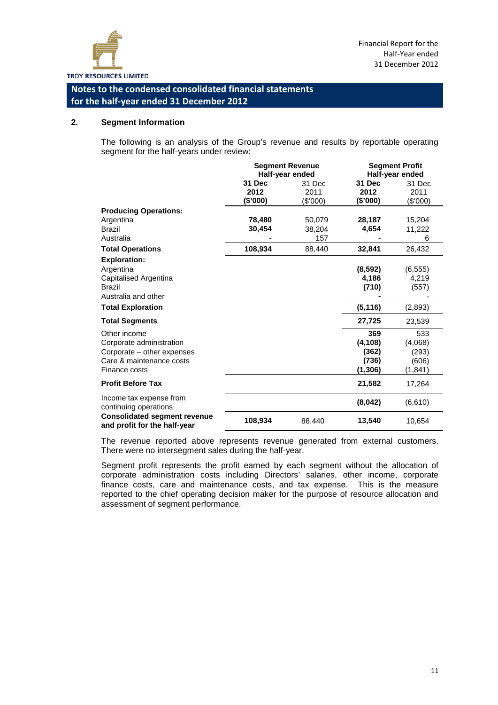

#### **2. Segment Information**

The following is an analysis of the Group's revenue and results by reportable operating segment for the half-years under review:

|                                                                     | <b>Segment Revenue</b><br>Half-year ended |          |               | <b>Segment Profit</b><br>Half-year ended |
|---------------------------------------------------------------------|-------------------------------------------|----------|---------------|------------------------------------------|
|                                                                     | 31 Dec                                    | 31 Dec   | <b>31 Dec</b> | 31 Dec                                   |
|                                                                     | 2012                                      | 2011     | 2012          | 2011                                     |
|                                                                     | (\$'000)                                  | (\$'000) | (\$'000)      | (\$'000)                                 |
| <b>Producing Operations:</b>                                        |                                           |          |               |                                          |
| Argentina                                                           | 78,480                                    | 50,079   | 28,187        | 15,204                                   |
| <b>Brazil</b>                                                       | 30,454                                    | 38,204   | 4,654         | 11,222                                   |
| Australia                                                           |                                           | 157      |               | 6                                        |
| <b>Total Operations</b>                                             | 108,934                                   | 88,440   | 32,841        | 26,432                                   |
| <b>Exploration:</b>                                                 |                                           |          |               |                                          |
| Argentina                                                           |                                           |          | (8, 592)      | (6, 555)                                 |
| Capitalised Argentina                                               |                                           |          | 4,186         | 4,219                                    |
| <b>Brazil</b>                                                       |                                           |          | (710)         | (557)                                    |
| Australia and other                                                 |                                           |          |               |                                          |
| <b>Total Exploration</b>                                            |                                           |          | (5, 116)      | (2,893)                                  |
| <b>Total Segments</b>                                               |                                           |          | 27,725        | 23,539                                   |
| Other income                                                        |                                           |          | 369           | 533                                      |
| Corporate administration                                            |                                           |          | (4, 108)      | (4,068)                                  |
| Corporate – other expenses                                          |                                           |          | (362)         | (293)                                    |
| Care & maintenance costs                                            |                                           |          | (736)         | (606)                                    |
| Finance costs                                                       |                                           |          | (1,306)       | (1, 841)                                 |
| <b>Profit Before Tax</b>                                            |                                           |          | 21,582        | 17,264                                   |
| Income tax expense from<br>continuing operations                    |                                           |          | (8,042)       | (6,610)                                  |
| <b>Consolidated segment revenue</b><br>and profit for the half-year | 108,934                                   | 88,440   | 13,540        | 10,654                                   |

The revenue reported above represents revenue generated from external customers. There were no intersegment sales during the half-year.

Segment profit represents the profit earned by each segment without the allocation of corporate administration costs including Directors' salaries, other income, corporate finance costs, care and maintenance costs, and tax expense. This is the measure reported to the chief operating decision maker for the purpose of resource allocation and assessment of segment performance.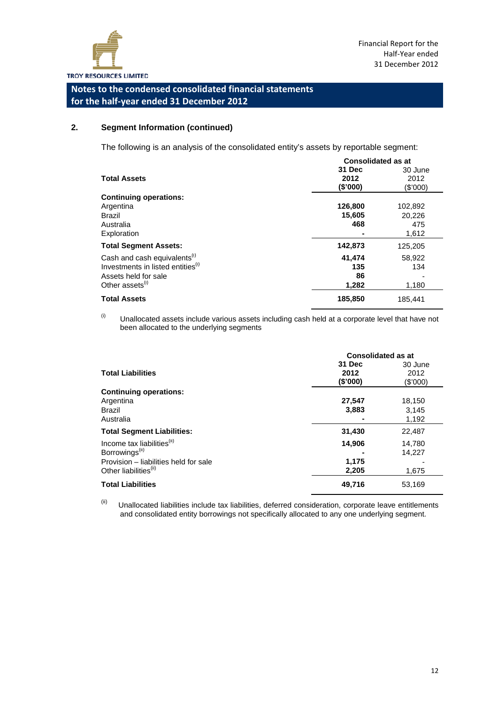

#### **2. Segment Information (continued)**

The following is an analysis of the consolidated entity's assets by reportable segment:

|                                               | <b>Consolidated as at</b> |          |  |  |
|-----------------------------------------------|---------------------------|----------|--|--|
|                                               | 31 Dec                    | 30 June  |  |  |
| <b>Total Assets</b>                           | 2012                      | 2012     |  |  |
|                                               | (S'000)                   | (\$'000) |  |  |
| <b>Continuing operations:</b>                 |                           |          |  |  |
| Argentina                                     | 126,800                   | 102,892  |  |  |
| <b>Brazil</b>                                 | 15,605                    | 20,226   |  |  |
| Australia                                     | 468                       | 475      |  |  |
| Exploration                                   |                           | 1,612    |  |  |
| <b>Total Segment Assets:</b>                  | 142,873                   | 125,205  |  |  |
| Cash and cash equivalents <sup>(1)</sup>      | 41,474                    | 58,922   |  |  |
| Investments in listed entities <sup>(i)</sup> | 135                       | 134      |  |  |
| Assets held for sale                          | 86                        |          |  |  |
| Other assets <sup>(i)</sup>                   | 1,282                     | 1,180    |  |  |
| <b>Total Assets</b>                           | 185,850                   | 185,441  |  |  |

 $(i)$  Unallocated assets include various assets including cash held at a corporate level that have not been allocated to the underlying segments

|                                        | <b>Consolidated as at</b> |          |  |
|----------------------------------------|---------------------------|----------|--|
|                                        | 31 Dec                    | 30 June  |  |
| <b>Total Liabilities</b>               | 2012                      | 2012     |  |
|                                        | (\$'000)                  | (\$'000) |  |
| <b>Continuing operations:</b>          |                           |          |  |
| Argentina                              | 27,547                    | 18,150   |  |
| Brazil                                 | 3,883                     | 3,145    |  |
| Australia                              |                           | 1,192    |  |
| <b>Total Segment Liabilities:</b>      | 31,430                    | 22,487   |  |
| Income tax liabilities <sup>(ii)</sup> | 14,906                    | 14,780   |  |
| Borrowings <sup>(ii)</sup>             |                           | 14,227   |  |
| Provision – liabilities held for sale  | 1,175                     |          |  |
| Other liabilities <sup>(ii)</sup>      | 2,205                     | 1,675    |  |
| <b>Total Liabilities</b>               | 49,716                    | 53,169   |  |

 $(iii)$  Unallocated liabilities include tax liabilities, deferred consideration, corporate leave entitlements and consolidated entity borrowings not specifically allocated to any one underlying segment.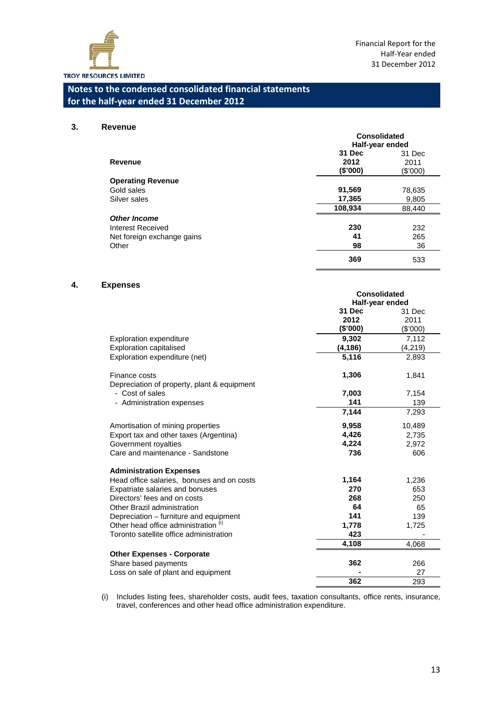

#### **3. Revenue**

|                            | Consolidated<br>Half-year ended |                |  |
|----------------------------|---------------------------------|----------------|--|
| Revenue                    | 31 Dec<br>2012                  | 31 Dec<br>2011 |  |
|                            | (\$'000)                        | (\$'000)       |  |
| <b>Operating Revenue</b>   |                                 |                |  |
| Gold sales                 | 91,569                          | 78,635         |  |
| Silver sales               | 17,365                          | 9,805          |  |
|                            | 108,934                         | 88,440         |  |
| <b>Other Income</b>        |                                 |                |  |
| Interest Received          | 230                             | 232            |  |
| Net foreign exchange gains | 41                              | 265            |  |
| Other                      | 98                              | 36             |  |
|                            | 369                             | 533            |  |

#### **4. Expenses**

|                                                 | <b>Consolidated</b> |          |  |
|-------------------------------------------------|---------------------|----------|--|
|                                                 | Half-year ended     |          |  |
|                                                 | 31 Dec              | 31 Dec   |  |
|                                                 | 2012                | 2011     |  |
|                                                 | (\$'000)            | (\$'000) |  |
| <b>Exploration expenditure</b>                  | 9,302               | 7,112    |  |
| <b>Exploration capitalised</b>                  | (4, 186)            | (4,219)  |  |
| Exploration expenditure (net)                   | 5,116               | 2,893    |  |
| Finance costs                                   | 1,306               | 1,841    |  |
| Depreciation of property, plant & equipment     |                     |          |  |
| - Cost of sales                                 | 7,003               | 7,154    |  |
| - Administration expenses                       | 141                 | 139      |  |
|                                                 | 7,144               | 7,293    |  |
| Amortisation of mining properties               | 9,958               | 10,489   |  |
| Export tax and other taxes (Argentina)          | 4,426               | 2,735    |  |
| Government royalties                            | 4,224               | 2,972    |  |
| Care and maintenance - Sandstone                | 736                 | 606      |  |
| <b>Administration Expenses</b>                  |                     |          |  |
| Head office salaries, bonuses and on costs      | 1,164               | 1,236    |  |
| Expatriate salaries and bonuses                 | 270                 | 653      |  |
| Directors' fees and on costs                    | 268                 | 250      |  |
| Other Brazil administration                     | 64                  | 65       |  |
| Depreciation - furniture and equipment          | 141                 | 139      |  |
| Other head office administration <sup>(i)</sup> | 1,778               | 1,725    |  |
| Toronto satellite office administration         | 423                 |          |  |
|                                                 | 4,108               | 4,068    |  |
| <b>Other Expenses - Corporate</b>               |                     |          |  |
| Share based payments                            | 362                 | 266      |  |
| Loss on sale of plant and equipment             |                     | 27       |  |
|                                                 | 362                 | 293      |  |

(i) Includes listing fees, shareholder costs, audit fees, taxation consultants, office rents, insurance, travel, conferences and other head office administration expenditure.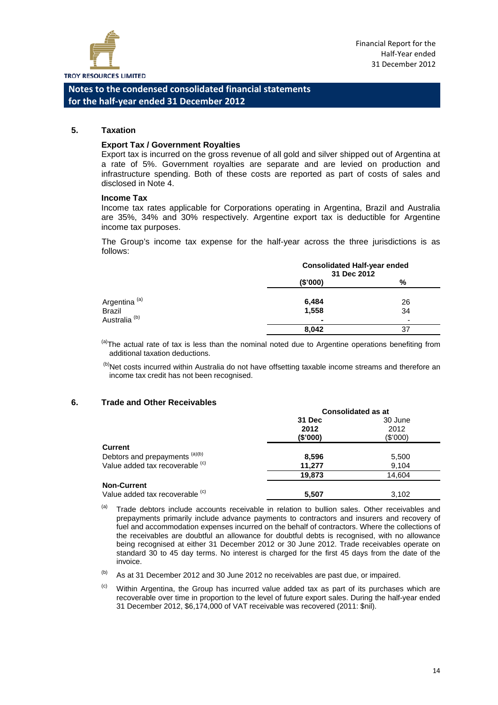

#### **5. Taxation**

#### **Export Tax / Government Royalties**

Export tax is incurred on the gross revenue of all gold and silver shipped out of Argentina at a rate of 5%. Government royalties are separate and are levied on production and infrastructure spending. Both of these costs are reported as part of costs of sales and disclosed in Note 4.

#### **Income Tax**

Income tax rates applicable for Corporations operating in Argentina, Brazil and Australia are 35%, 34% and 30% respectively. Argentine export tax is deductible for Argentine income tax purposes.

The Group's income tax expense for the half-year across the three jurisdictions is as follows:

|                          | <b>Consolidated Half-year ended</b><br>31 Dec 2012 |                |
|--------------------------|----------------------------------------------------|----------------|
|                          | (\$'000)                                           | %              |
| Argentina <sup>(a)</sup> | 6,484                                              | 26             |
| <b>Brazil</b>            | 1,558                                              | 34             |
| Australia <sup>(b)</sup> | $\blacksquare$                                     | $\overline{a}$ |
|                          | 8,042                                              | 37             |

<sup>(a)</sup>The actual rate of tax is less than the nominal noted due to Argentine operations benefiting from additional taxation deductions.

(b)Net costs incurred within Australia do not have offsetting taxable income streams and therefore an income tax credit has not been recognised.

#### **6. Trade and Other Receivables**

|                                 | <b>Consolidated as at</b> |          |  |
|---------------------------------|---------------------------|----------|--|
|                                 | 31 Dec                    | 30 June  |  |
|                                 | 2012                      | 2012     |  |
|                                 | (S'000)                   | (\$'000) |  |
| <b>Current</b>                  |                           |          |  |
| Debtors and prepayments (a)(b)  | 8,596                     | 5,500    |  |
| Value added tax recoverable (c) | 11,277                    | 9,104    |  |
|                                 | 19,873                    | 14,604   |  |
| <b>Non-Current</b>              |                           |          |  |
| Value added tax recoverable (c) | 5.507                     | 3.102    |  |

 $(a)$  Trade debtors include accounts receivable in relation to bullion sales. Other receivables and prepayments primarily include advance payments to contractors and insurers and recovery of fuel and accommodation expenses incurred on the behalf of contractors. Where the collections of the receivables are doubtful an allowance for doubtful debts is recognised, with no allowance being recognised at either 31 December 2012 or 30 June 2012. Trade receivables operate on standard 30 to 45 day terms. No interest is charged for the first 45 days from the date of the invoice.

 $(b)$  As at 31 December 2012 and 30 June 2012 no receivables are past due, or impaired.

 $\degree$  Within Argentina, the Group has incurred value added tax as part of its purchases which are recoverable over time in proportion to the level of future export sales. During the half-year ended 31 December 2012, \$6,174,000 of VAT receivable was recovered (2011: \$nil).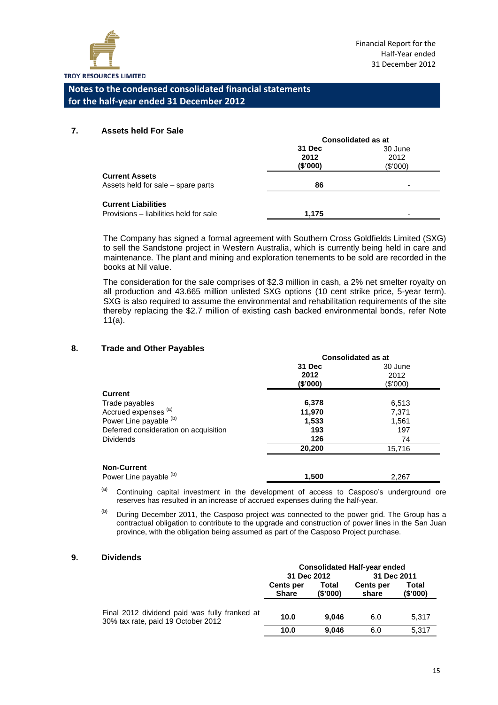

**Consolidated as at**

**Consolidated as at**

#### **Notes to the condensed consolidated financial statements for the half-year ended 31 December 2012**

#### **7. Assets held For Sale**

|                                        | Consolidated as at |                |  |
|----------------------------------------|--------------------|----------------|--|
|                                        | 31 Dec             | 30 June        |  |
|                                        | 2012               | 2012           |  |
|                                        | (S'000)            | (\$'000)       |  |
| <b>Current Assets</b>                  |                    |                |  |
| Assets held for sale - spare parts     | 86                 | $\overline{a}$ |  |
| <b>Current Liabilities</b>             |                    |                |  |
| Provisions - liabilities held for sale | 1.175              | ۰              |  |

The Company has signed a formal agreement with Southern Cross Goldfields Limited (SXG) to sell the Sandstone project in Western Australia, which is currently being held in care and maintenance. The plant and mining and exploration tenements to be sold are recorded in the books at Nil value.

The consideration for the sale comprises of \$2.3 million in cash, a 2% net smelter royalty on all production and 43.665 million unlisted SXG options (10 cent strike price, 5-year term). SXG is also required to assume the environmental and rehabilitation requirements of the site thereby replacing the \$2.7 million of existing cash backed environmental bonds, refer Note 11(a).

#### **8. Trade and Other Payables**

|                                       | Consolidated as at |          |  |
|---------------------------------------|--------------------|----------|--|
|                                       | 31 Dec             | 30 June  |  |
|                                       | 2012               | 2012     |  |
|                                       | (\$'000)           | (\$'000) |  |
| <b>Current</b>                        |                    |          |  |
| Trade payables                        | 6,378              | 6,513    |  |
| Accrued expenses (a)                  | 11,970             | 7,371    |  |
| Power Line payable (b)                | 1,533              | 1,561    |  |
| Deferred consideration on acquisition | 193                | 197      |  |
| <b>Dividends</b>                      | 126                | 74       |  |
|                                       | 20,200             | 15,716   |  |
| <b>Non-Current</b>                    |                    |          |  |
| Power Line payable (b)                | 1,500              | 2,267    |  |

 $(a)$  Continuing capital investment in the development of access to Casposo's underground ore reserves has resulted in an increase of accrued expenses during the half-year.

(b) During December 2011, the Casposo project was connected to the power grid. The Group has a contractual obligation to contribute to the upgrade and construction of power lines in the San Juan province, with the obligation being assumed as part of the Casposo Project purchase.

#### **9. Dividends**

|                                                                                     | <b>Consolidated Half-year ended</b> |                  |                           |                   |
|-------------------------------------------------------------------------------------|-------------------------------------|------------------|---------------------------|-------------------|
|                                                                                     | 31 Dec 2012                         |                  | 31 Dec 2011               |                   |
|                                                                                     | <b>Cents per</b><br><b>Share</b>    | Total<br>(S'000) | <b>Cents per</b><br>share | Total<br>(\$'000) |
| Final 2012 dividend paid was fully franked at<br>30% tax rate, paid 19 October 2012 | 10.0                                | 9.046            | 6.0                       | 5,317             |
|                                                                                     | 10.0                                | 9.046            | 6.0                       | 5.317             |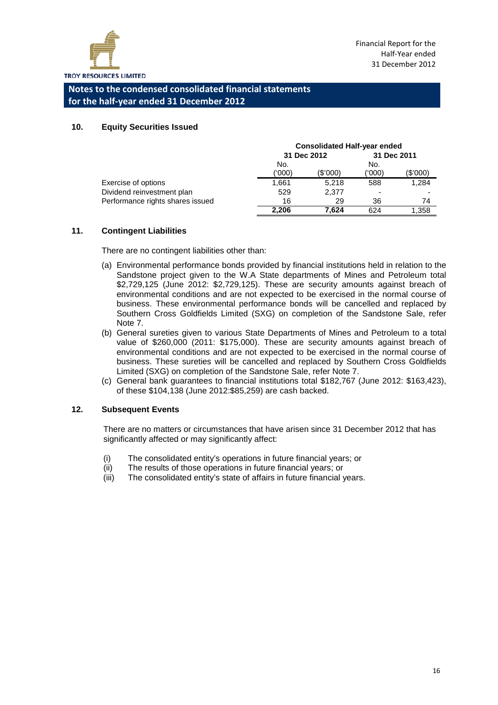

#### **10. Equity Securities Issued**

|                                  | <b>Consolidated Half-year ended</b> |          |                |          |
|----------------------------------|-------------------------------------|----------|----------------|----------|
|                                  | 31 Dec 2012                         |          | 31 Dec 2011    |          |
|                                  | No.                                 |          | No.            |          |
|                                  | (000)                               | (\$'000) | ('000)         | (\$'000) |
| Exercise of options              | 1,661                               | 5.218    | 588            | 1,284    |
| Dividend reinvestment plan       | 529                                 | 2.377    | $\overline{a}$ |          |
| Performance rights shares issued | 16                                  | 29       | 36             | 74       |
|                                  | 2.206                               | 7.624    | 624            | 1,358    |

#### **11. Contingent Liabilities**

There are no contingent liabilities other than:

- (a) Environmental performance bonds provided by financial institutions held in relation to the Sandstone project given to the W.A State departments of Mines and Petroleum total \$2,729,125 (June 2012: \$2,729,125). These are security amounts against breach of environmental conditions and are not expected to be exercised in the normal course of business. These environmental performance bonds will be cancelled and replaced by Southern Cross Goldfields Limited (SXG) on completion of the Sandstone Sale, refer Note 7.
- (b) General sureties given to various State Departments of Mines and Petroleum to a total value of \$260,000 (2011: \$175,000). These are security amounts against breach of environmental conditions and are not expected to be exercised in the normal course of business. These sureties will be cancelled and replaced by Southern Cross Goldfields Limited (SXG) on completion of the Sandstone Sale, refer Note 7.
- (c) General bank guarantees to financial institutions total \$182,767 (June 2012: \$163,423), of these \$104,138 (June 2012:\$85,259) are cash backed.

#### **12. Subsequent Events**

There are no matters or circumstances that have arisen since 31 December 2012 that has significantly affected or may significantly affect:

- (i) The consolidated entity's operations in future financial years; or
- (ii) The results of those operations in future financial years; or
- (iii) The consolidated entity's state of affairs in future financial years.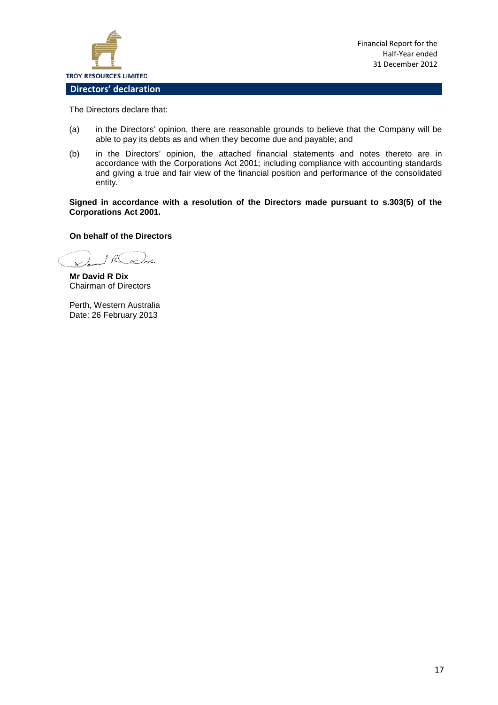

Financial Report for the Half-Year ended 31 December 2012

The Directors declare that:

- (a) in the Directors' opinion, there are reasonable grounds to believe that the Company will be able to pay its debts as and when they become due and payable; and
- (b) in the Directors' opinion, the attached financial statements and notes thereto are in accordance with the Corporations Act 2001; including compliance with accounting standards and giving a true and fair view of the financial position and performance of the consolidated entity.

**Signed in accordance with a resolution of the Directors made pursuant to s.303(5) of the Corporations Act 2001.**

#### **On behalf of the Directors**

1 R active  $\alpha$ 

**Mr David R Dix** Chairman of Directors

Perth, Western Australia Date: 26 February 2013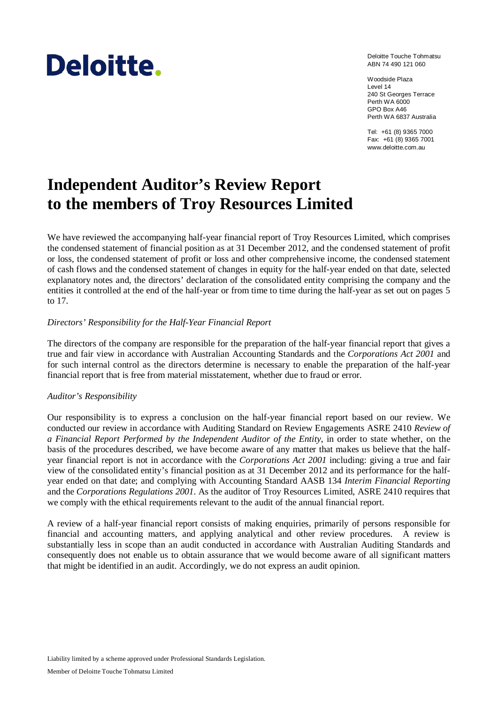# Deloitte.

Deloitte Touche Tohmatsu ABN 74 490 121 060

Woodside Plaza Level 14 240 St Georges Terrace Perth WA 6000 GPO Box A46 Perth WA 6837 Australia

Tel: +61 (8) 9365 7000 Fax: +61 (8) 9365 7001 www.deloitte.com.au

### **Independent Auditor's Review Report to the members of Troy Resources Limited**

We have reviewed the accompanying half-year financial report of Troy Resources Limited, which comprises the condensed statement of financial position as at 31 December 2012, and the condensed statement of profit or loss, the condensed statement of profit or loss and other comprehensive income, the condensed statement of cash flows and the condensed statement of changes in equity for the half-year ended on that date, selected explanatory notes and, the directors' declaration of the consolidated entity comprising the company and the entities it controlled at the end of the half-year or from time to time during the half-year as set out on pages 5 to 17.

#### *Directors' Responsibility for the Half-Year Financial Report*

The directors of the company are responsible for the preparation of the half-year financial report that gives a true and fair view in accordance with Australian Accounting Standards and the *Corporations Act 2001* and for such internal control as the directors determine is necessary to enable the preparation of the half-year financial report that is free from material misstatement, whether due to fraud or error.

#### *Auditor's Responsibility*

Our responsibility is to express a conclusion on the half-year financial report based on our review. We conducted our review in accordance with Auditing Standard on Review Engagements ASRE 2410 *Review of a Financial Report Performed by the Independent Auditor of the Entity*, in order to state whether, on the basis of the procedures described, we have become aware of any matter that makes us believe that the halfyear financial report is not in accordance with the *Corporations Act 2001* including: giving a true and fair view of the consolidated entity's financial position as at 31 December 2012 and its performance for the halfyear ended on that date; and complying with Accounting Standard AASB 134 *Interim Financial Reporting* and the *Corporations Regulations 2001*. As the auditor of Troy Resources Limited, ASRE 2410 requires that we comply with the ethical requirements relevant to the audit of the annual financial report.

A review of a half-year financial report consists of making enquiries, primarily of persons responsible for financial and accounting matters, and applying analytical and other review procedures. A review is substantially less in scope than an audit conducted in accordance with Australian Auditing Standards and consequently does not enable us to obtain assurance that we would become aware of all significant matters that might be identified in an audit. Accordingly, we do not express an audit opinion.